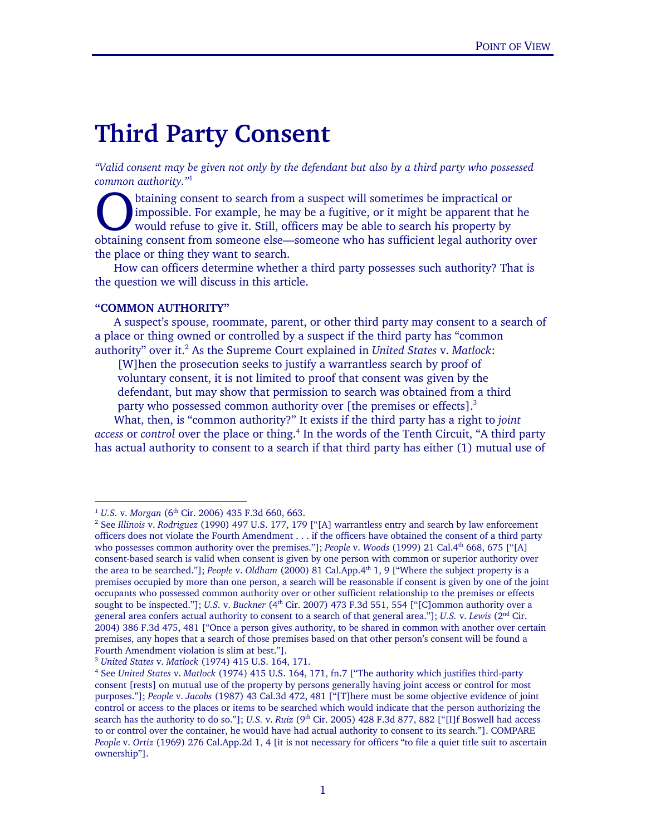# **Third Party Consent**

*"Valid consent may be given not only by the defendant but also by a third party who possessed common authority."*<sup>1</sup>

btaining consent to search from a suspect will sometimes be impractical or impossible. For example, he may be a fugitive, or it might be apparent that he would refuse to give it. Still, officers may be able to search his property by btaining consent to search from a suspect will sometimes be impractical or impossible. For example, he may be a fugitive, or it might be apparent that he would refuse to give it. Still, officers may be able to search his p the place or thing they want to search.

 How can officers determine whether a third party possesses such authority? That is the question we will discuss in this article.

#### **"COMMON AUTHORITY"**

Ξ

-

 A suspect's spouse, roommate, parent, or other third party may consent to a search of a place or thing owned or controlled by a suspect if the third party has "common authority" over it.<sup>2</sup> As the Supreme Court explained in *United States v. Matlock*:

[W]hen the prosecution seeks to justify a warrantless search by proof of voluntary consent, it is not limited to proof that consent was given by the

defendant, but may show that permission to search was obtained from a third party who possessed common authority over [the premises or effects]. $3$ 

 What, then, is "common authority?" It exists if the third party has a right to *joint*  access or control over the place or thing.<sup>4</sup> In the words of the Tenth Circuit, "A third party has actual authority to consent to a search if that third party has either (1) mutual use of

<sup>&</sup>lt;sup>1</sup> U.S. v. Morgan (6<sup>th</sup> Cir. 2006) 435 F.3d 660, 663.

<sup>&</sup>lt;sup>2</sup> See Illinois v. *Rodriguez* (1990) 497 U.S. 177, 179 ["[A] warrantless entry and search by law enforcement officers does not violate the Fourth Amendment . . . if the officers have obtained the consent of a third party who possesses common authority over the premises."]; *People* v. *Woods* (1999) 21 Cal.4<sup>th</sup> 668, 675 ["[A] consent-based search is valid when consent is given by one person with common or superior authority over the area to be searched."]; *People* v. *Oldham* (2000) 81 Cal.App.4th 1, 9 ["Where the subject property is a premises occupied by more than one person, a search will be reasonable if consent is given by one of the joint occupants who possessed common authority over or other sufficient relationship to the premises or effects sought to be inspected."]; *U.S.* v. *Buckner* (4<sup>th</sup> Cir. 2007) 473 F.3d 551, 554 ["[C]ommon authority over a general area confers actual authority to consent to a search of that general area."]; *U.S.* v. *Lewis* (2nd Cir. 2004) 386 F.3d 475, 481 ["Once a person gives authority, to be shared in common with another over certain premises, any hopes that a search of those premises based on that other person's consent will be found a Fourth Amendment violation is slim at best."].

<sup>3</sup> *United States* v. *Matlock* (1974) 415 U.S. 164, 171. 4

See *United States* v. *Matlock* (1974) 415 U.S. 164, 171, fn.7 ["The authority which justifies third-party consent [rests] on mutual use of the property by persons generally having joint access or control for most purposes."]; *People* v. *Jacobs* (1987) 43 Cal.3d 472, 481 ["[T]here must be some objective evidence of joint control or access to the places or items to be searched which would indicate that the person authorizing the search has the authority to do so."]; *U.S.* v. *Ruiz* (9<sup>th</sup> Cir. 2005) 428 F.3d 877, 882 ["[I]f Boswell had access to or control over the container, he would have had actual authority to consent to its search."]. COMPARE *People* v. *Ortiz* (1969) 276 Cal.App.2d 1, 4 [it is not necessary for officers "to file a quiet title suit to ascertain ownership"].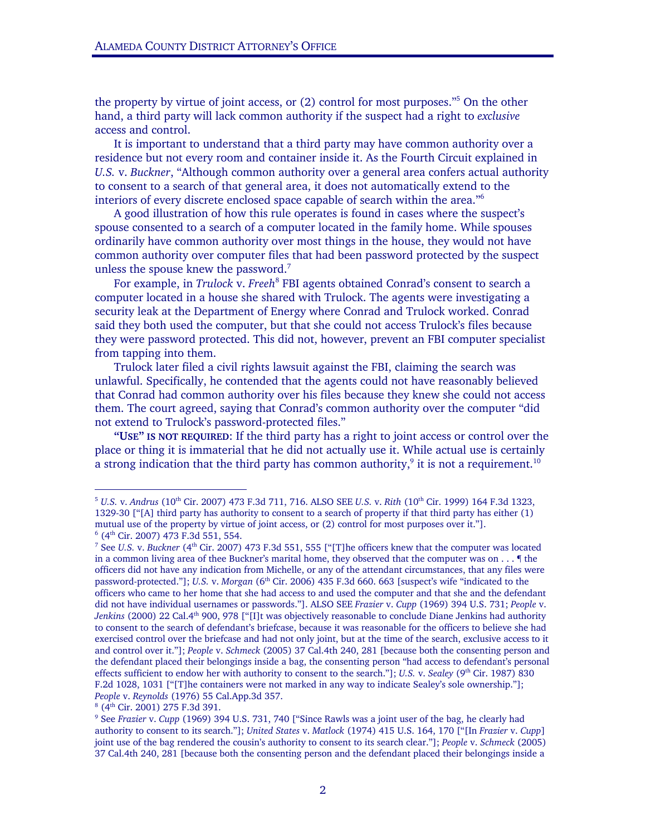the property by virtue of joint access, or (2) control for most purposes."5 On the other hand, a third party will lack common authority if the suspect had a right to *exclusive* access and control.

 It is important to understand that a third party may have common authority over a residence but not every room and container inside it. As the Fourth Circuit explained in *U.S.* v. *Buckner*, "Although common authority over a general area confers actual authority to consent to a search of that general area, it does not automatically extend to the interiors of every discrete enclosed space capable of search within the area."<sup>6</sup>

 A good illustration of how this rule operates is found in cases where the suspect's spouse consented to a search of a computer located in the family home. While spouses ordinarily have common authority over most things in the house, they would not have common authority over computer files that had been password protected by the suspect unless the spouse knew the password. $7$ 

For example, in *Trulock v. Freeh<sup>8</sup>* FBI agents obtained Conrad's consent to search a computer located in a house she shared with Trulock. The agents were investigating a security leak at the Department of Energy where Conrad and Trulock worked. Conrad said they both used the computer, but that she could not access Trulock's files because they were password protected. This did not, however, prevent an FBI computer specialist from tapping into them.

 Trulock later filed a civil rights lawsuit against the FBI, claiming the search was unlawful. Specifically, he contended that the agents could not have reasonably believed that Conrad had common authority over his files because they knew she could not access them. The court agreed, saying that Conrad's common authority over the computer "did not extend to Trulock's password-protected files."

**"USE" IS NOT REQUIRED**: If the third party has a right to joint access or control over the place or thing it is immaterial that he did not actually use it. While actual use is certainly a strong indication that the third party has common authority, $9$  it is not a requirement.<sup>10</sup>

-

<sup>5</sup> *U.S.* v. *Andrus* (10th Cir. 2007) 473 F.3d 711, 716. ALSO SEE *U.S.* v. *Rith* (10th Cir. 1999) 164 F.3d 1323, 1329-30 ["[A] third party has authority to consent to a search of property if that third party has either (1) mutual use of the property by virtue of joint access, or (2) control for most purposes over it."].  $<sup>6</sup>$  (4<sup>th</sup> Cir. 2007) 473 F.3d 551, 554.</sup>

<sup>&</sup>lt;sup>7</sup> See *U.S.* v. *Buckner* (4<sup>th</sup> Cir. 2007) 473 F.3d 551, 555 ["[T]he officers knew that the computer was located in a common living area of thee Buckner's marital home, they observed that the computer was on  $\dots$  ¶ the officers did not have any indication from Michelle, or any of the attendant circumstances, that any files were password-protected."]; *U.S.* v. *Morgan* (6th Cir. 2006) 435 F.3d 660. 663 [suspect's wife "indicated to the officers who came to her home that she had access to and used the computer and that she and the defendant did not have individual usernames or passwords."]. ALSO SEE *Frazier* v. *Cupp* (1969) 394 U.S. 731; *People* v. *Jenkins* (2000) 22 Cal.4<sup>th</sup> 900, 978 ["[I]t was objectively reasonable to conclude Diane Jenkins had authority to consent to the search of defendant's briefcase, because it was reasonable for the officers to believe she had exercised control over the briefcase and had not only joint, but at the time of the search, exclusive access to it and control over it."]; *People* v. *Schmeck* (2005) 37 Cal.4th 240, 281 [because both the consenting person and the defendant placed their belongings inside a bag, the consenting person "had access to defendant's personal effects sufficient to endow her with authority to consent to the search."]; *U.S. v. Sealey* (9<sup>th</sup> Cir. 1987) 830 F.2d 1028, 1031 ["[T]he containers were not marked in any way to indicate Sealey's sole ownership."]; *People* v. *Reynolds* (1976) 55 Cal.App.3d 357.

 $8$  (4<sup>th</sup> Cir. 2001) 275 F.3d 391.

<sup>&</sup>lt;sup>9</sup> See *Frazier* v. *Cupp* (1969) 394 U.S. 731, 740 ["Since Rawls was a joint user of the bag, he clearly had authority to consent to its search."]; *United States* v. *Matlock* (1974) 415 U.S. 164, 170 ["[In *Frazier* v. *Cupp*] joint use of the bag rendered the cousin's authority to consent to its search clear."]; *People* v. *Schmeck* (2005) 37 Cal.4th 240, 281 [because both the consenting person and the defendant placed their belongings inside a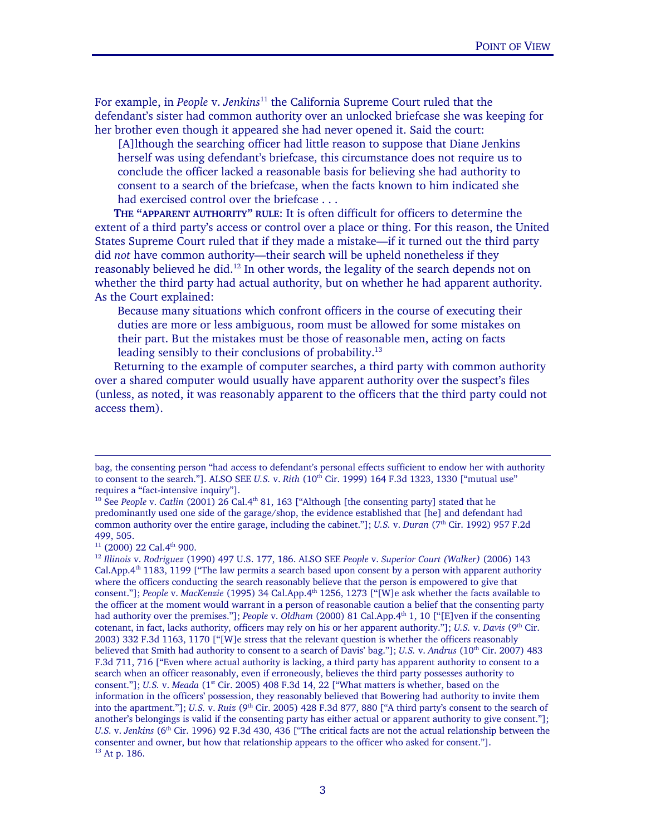For example, in *People* v. *Jenkins*11 the California Supreme Court ruled that the defendant's sister had common authority over an unlocked briefcase she was keeping for her brother even though it appeared she had never opened it. Said the court:

[A]lthough the searching officer had little reason to suppose that Diane Jenkins herself was using defendant's briefcase, this circumstance does not require us to conclude the officer lacked a reasonable basis for believing she had authority to consent to a search of the briefcase, when the facts known to him indicated she had exercised control over the briefcase . . .

 **THE "APPARENT AUTHORITY" RULE**: It is often difficult for officers to determine the extent of a third party's access or control over a place or thing. For this reason, the United States Supreme Court ruled that if they made a mistake—if it turned out the third party did *not* have common authority—their search will be upheld nonetheless if they reasonably believed he did.<sup>12</sup> In other words, the legality of the search depends not on whether the third party had actual authority, but on whether he had apparent authority. As the Court explained:

Because many situations which confront officers in the course of executing their duties are more or less ambiguous, room must be allowed for some mistakes on their part. But the mistakes must be those of reasonable men, acting on facts leading sensibly to their conclusions of probability.<sup>13</sup>

 Returning to the example of computer searches, a third party with common authority over a shared computer would usually have apparent authority over the suspect's files (unless, as noted, it was reasonably apparent to the officers that the third party could not access them).

-

Ξ

bag, the consenting person "had access to defendant's personal effects sufficient to endow her with authority to consent to the search."]. ALSO SEE *U.S.* v. *Rith* (10th Cir. 1999) 164 F.3d 1323, 1330 ["mutual use" requires a "fact-intensive inquiry"].

<sup>&</sup>lt;sup>10</sup> See People v. *Catlin* (2001) 26 Cal.4<sup>th</sup> 81, 163 ["Although [the consenting party] stated that he predominantly used one side of the garage/shop, the evidence established that [he] and defendant had common authority over the entire garage, including the cabinet."]; *U.S. v. Duran* (7<sup>th</sup> Cir. 1992) 957 F.2d 499, 505.<br><sup>11</sup> (2000) 22 Cal.4<sup>th</sup> 900.

<sup>11 (2000) 22</sup> Cal.4th 900. 12 *Illinois* v. *Rodriguez* (1990) 497 U.S. 177, 186. ALSO SEE *People* v. *Superior Court (Walker)* (2006) 143 Cal.App. $4<sup>th</sup>$  1183, 1199 ["The law permits a search based upon consent by a person with apparent authority where the officers conducting the search reasonably believe that the person is empowered to give that consent."]; *People* v. *MacKenzie* (1995) 34 Cal.App.4th 1256, 1273 ["[W]e ask whether the facts available to the officer at the moment would warrant in a person of reasonable caution a belief that the consenting party had authority over the premises."]; *People* v. *Oldham* (2000) 81 Cal.App.4<sup>th</sup> 1, 10 ["[E]ven if the consenting cotenant, in fact, lacks authority, officers may rely on his or her apparent authority."]; *U.S.* v. *Davis* (9th Cir. 2003) 332 F.3d 1163, 1170 ["[W]e stress that the relevant question is whether the officers reasonably believed that Smith had authority to consent to a search of Davis' bag."]; *U.S. v. Andrus* (10<sup>th</sup> Cir. 2007) 483 F.3d 711, 716 ["Even where actual authority is lacking, a third party has apparent authority to consent to a search when an officer reasonably, even if erroneously, believes the third party possesses authority to consent."]; *U.S. v. Meada* (1<sup>st</sup> Cir. 2005) 408 F.3d 14, 22 ["What matters is whether, based on the information in the officers' possession, they reasonably believed that Bowering had authority to invite them into the apartment."]; *U.S.* v. *Ruiz* (9<sup>th</sup> Cir. 2005) 428 F.3d 877, 880 ["A third party's consent to the search of another's belongings is valid if the consenting party has either actual or apparent authority to give consent."]; *U.S.* v. *Jenkins* (6<sup>th</sup> Cir. 1996) 92 F.3d 430, 436 ["The critical facts are not the actual relationship between the consenter and owner, but how that relationship appears to the officer who asked for consent."]. 13 At p. 186.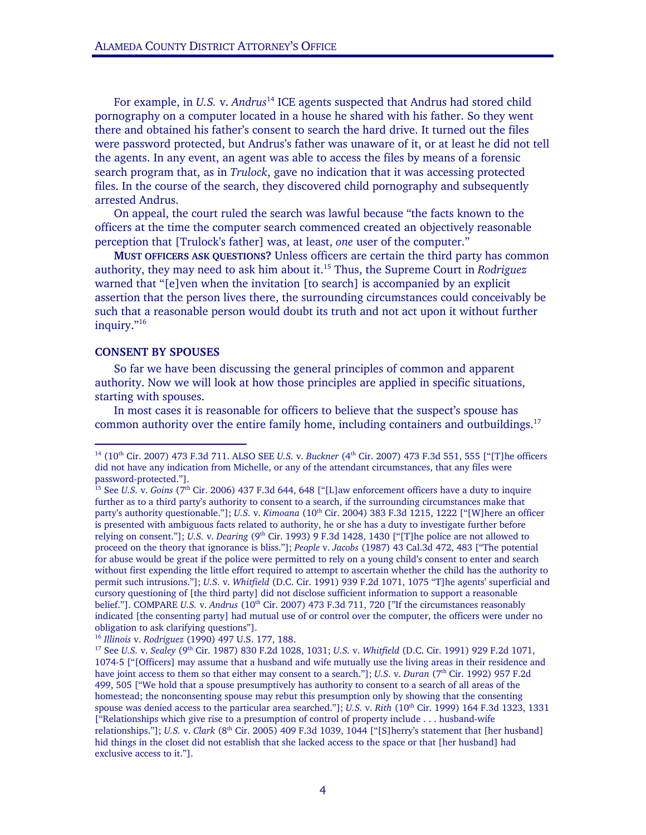For example, in *U.S.* v. *Andrus*14 ICE agents suspected that Andrus had stored child pornography on a computer located in a house he shared with his father. So they went there and obtained his father's consent to search the hard drive. It turned out the files were password protected, but Andrus's father was unaware of it, or at least he did not tell the agents. In any event, an agent was able to access the files by means of a forensic search program that, as in *Trulock*, gave no indication that it was accessing protected files. In the course of the search, they discovered child pornography and subsequently arrested Andrus.

 On appeal, the court ruled the search was lawful because "the facts known to the officers at the time the computer search commenced created an objectively reasonable perception that [Trulock's father] was, at least, *one* user of the computer."

 **MUST OFFICERS ASK QUESTIONS?** Unless officers are certain the third party has common authority, they may need to ask him about it.15 Thus, the Supreme Court in *Rodriguez* warned that "[e]ven when the invitation [to search] is accompanied by an explicit assertion that the person lives there, the surrounding circumstances could conceivably be such that a reasonable person would doubt its truth and not act upon it without further inquiry."16

### **CONSENT BY SPOUSES**

-

 So far we have been discussing the general principles of common and apparent authority. Now we will look at how those principles are applied in specific situations, starting with spouses.

 In most cases it is reasonable for officers to believe that the suspect's spouse has common authority over the entire family home, including containers and outbuildings.<sup>17</sup>

<sup>14 (10</sup>th Cir. 2007) 473 F.3d 711. ALSO SEE *U.S.* v. *Buckner* (4th Cir. 2007) 473 F.3d 551, 555 ["[T]he officers did not have any indication from Michelle, or any of the attendant circumstances, that any files were password-protected."].

<sup>&</sup>lt;sup>15</sup> See *U.S.* v. *Goins* (7<sup>th</sup> Cir. 2006) 437 F.3d 644, 648 ["[L]aw enforcement officers have a duty to inquire further as to a third party's authority to consent to a search, if the surrounding circumstances make that party's authority questionable."]; *U.S.* v. *Kimoana* (10<sup>th</sup> Cir. 2004) 383 F.3d 1215, 1222 ["[W]here an officer is presented with ambiguous facts related to authority, he or she has a duty to investigate further before relying on consent."]; *U.S. v. Dearing* (9<sup>th</sup> Cir. 1993) 9 F.3d 1428, 1430 ["[T]he police are not allowed to proceed on the theory that ignorance is bliss."]; *People* v. *Jacobs* (1987) 43 Cal.3d 472, 483 ["The potential for abuse would be great if the police were permitted to rely on a young child's consent to enter and search without first expending the little effort required to attempt to ascertain whether the child has the authority to permit such intrusions."]; *U.S.* v. *Whitfield* (D.C. Cir. 1991) 939 F.2d 1071, 1075 "T]he agents' superficial and cursory questioning of [the third party] did not disclose sufficient information to support a reasonable belief."]. COMPARE *U.S.* v. *Andrus* (10<sup>th</sup> Cir. 2007) 473 F.3d 711, 720 ["If the circumstances reasonably indicated [the consenting party] had mutual use of or control over the computer, the officers were under no obligation to ask clarifying questions"].<br><sup>16</sup> Illinois v. Rodriguez (1990) 497 U.S. 177, 188.

<sup>16</sup> *Illinois* v. *Rodriguez* (1990) 497 U.S. 177, 188. 17 See *U.S.* v. *Sealey* (9th Cir. 1987) 830 F.2d 1028, 1031; *U.S.* v. *Whitfield* (D.C. Cir. 1991) 929 F.2d 1071, 1074-5 ["[Officers] may assume that a husband and wife mutually use the living areas in their residence and have joint access to them so that either may consent to a search."]; *U.S.* v. *Duran* (7<sup>th</sup> Cir. 1992) 957 F.2d 499, 505 ["We hold that a spouse presumptively has authority to consent to a search of all areas of the homestead; the nonconsenting spouse may rebut this presumption only by showing that the consenting spouse was denied access to the particular area searched."]; *U.S. v. Rith* (10<sup>th</sup> Cir. 1999) 164 F.3d 1323, 1331 ["Relationships which give rise to a presumption of control of property include . . . husband-wife relationships."]; *U.S.* v. *Clark* (8th Cir. 2005) 409 F.3d 1039, 1044 ["[S]herry's statement that [her husband] hid things in the closet did not establish that she lacked access to the space or that [her husband] had exclusive access to it."].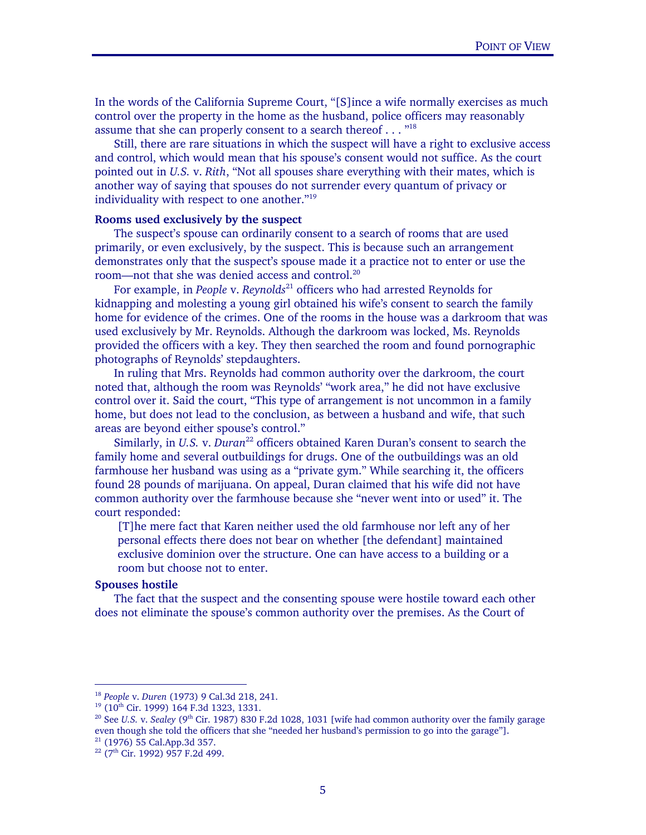In the words of the California Supreme Court, "[S]ince a wife normally exercises as much control over the property in the home as the husband, police officers may reasonably assume that she can properly consent to a search thereof . . . "<sup>18</sup>

 Still, there are rare situations in which the suspect will have a right to exclusive access and control, which would mean that his spouse's consent would not suffice. As the court pointed out in *U.S.* v. *Rith*, "Not all spouses share everything with their mates, which is another way of saying that spouses do not surrender every quantum of privacy or individuality with respect to one another."19

## **Rooms used exclusively by the suspect**

Ξ

 The suspect's spouse can ordinarily consent to a search of rooms that are used primarily, or even exclusively, by the suspect. This is because such an arrangement demonstrates only that the suspect's spouse made it a practice not to enter or use the room—not that she was denied access and control.<sup>20</sup>

 For example, in *People* v. *Reynolds*21 officers who had arrested Reynolds for kidnapping and molesting a young girl obtained his wife's consent to search the family home for evidence of the crimes. One of the rooms in the house was a darkroom that was used exclusively by Mr. Reynolds. Although the darkroom was locked, Ms. Reynolds provided the officers with a key. They then searched the room and found pornographic photographs of Reynolds' stepdaughters.

 In ruling that Mrs. Reynolds had common authority over the darkroom, the court noted that, although the room was Reynolds' "work area," he did not have exclusive control over it. Said the court, "This type of arrangement is not uncommon in a family home, but does not lead to the conclusion, as between a husband and wife, that such areas are beyond either spouse's control."

Similarly, in *U.S.* v. *Duran*<sup>22</sup> officers obtained Karen Duran's consent to search the family home and several outbuildings for drugs. One of the outbuildings was an old farmhouse her husband was using as a "private gym." While searching it, the officers found 28 pounds of marijuana. On appeal, Duran claimed that his wife did not have common authority over the farmhouse because she "never went into or used" it. The court responded:

[T]he mere fact that Karen neither used the old farmhouse nor left any of her personal effects there does not bear on whether [the defendant] maintained exclusive dominion over the structure. One can have access to a building or a room but choose not to enter.

## **Spouses hostile**

 $\overline{a}$ 

 The fact that the suspect and the consenting spouse were hostile toward each other does not eliminate the spouse's common authority over the premises. As the Court of

<sup>&</sup>lt;sup>18</sup> *People* v. *Duren* (1973) 9 Cal.3d 218, 241.<br><sup>19</sup> (10<sup>th</sup> Cir. 1999) 164 F.3d 1323, 1331.<br><sup>20</sup> See *U.S.* v. *Sealey* (9<sup>th</sup> Cir. 1987) 830 F.2d 1028, 1031 [wife had common authority over the family garage even though she told the officers that she "needed her husband's permission to go into the garage"]. <sup>21</sup> (1976) 55 Cal.App.3d 357.

<sup>&</sup>lt;sup>22</sup> (7<sup>th</sup> Cir. 1992) 957 F.2d 499.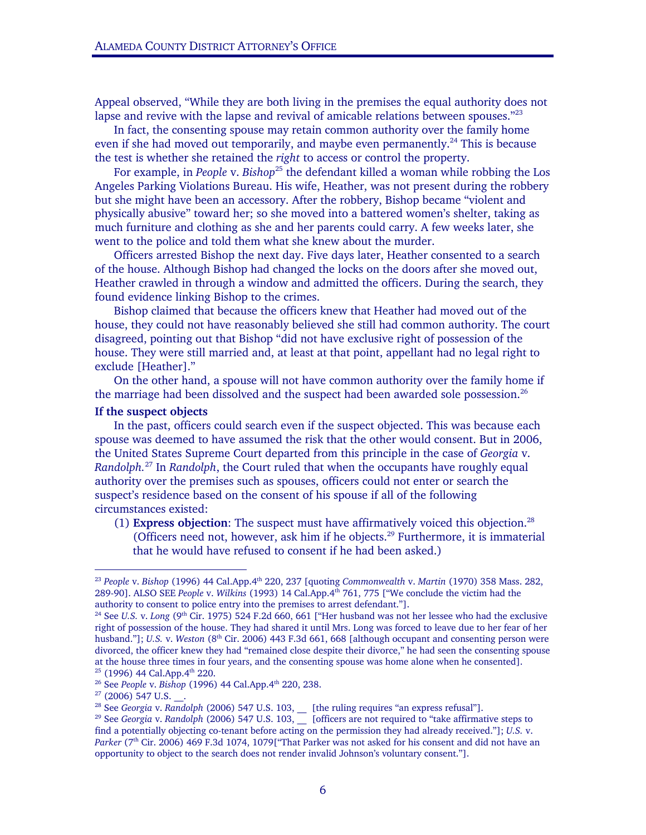Appeal observed, "While they are both living in the premises the equal authority does not lapse and revive with the lapse and revival of amicable relations between spouses." $23$ 

In fact, the consenting spouse may retain common authority over the family home even if she had moved out temporarily, and maybe even permanently.<sup>24</sup> This is because the test is whether she retained the *right* to access or control the property.

For example, in *People* v. *Bishop*<sup>25</sup> the defendant killed a woman while robbing the Los Angeles Parking Violations Bureau. His wife, Heather, was not present during the robbery but she might have been an accessory. After the robbery, Bishop became "violent and physically abusive" toward her; so she moved into a battered women's shelter, taking as much furniture and clothing as she and her parents could carry. A few weeks later, she went to the police and told them what she knew about the murder.

 Officers arrested Bishop the next day. Five days later, Heather consented to a search of the house. Although Bishop had changed the locks on the doors after she moved out, Heather crawled in through a window and admitted the officers. During the search, they found evidence linking Bishop to the crimes.

 Bishop claimed that because the officers knew that Heather had moved out of the house, they could not have reasonably believed she still had common authority. The court disagreed, pointing out that Bishop "did not have exclusive right of possession of the house. They were still married and, at least at that point, appellant had no legal right to exclude [Heather]."

 On the other hand, a spouse will not have common authority over the family home if the marriage had been dissolved and the suspect had been awarded sole possession.<sup>26</sup>

## **If the suspect objects**

In the past, officers could search even if the suspect objected. This was because each spouse was deemed to have assumed the risk that the other would consent. But in 2006, the United States Supreme Court departed from this principle in the case of *Georgia* v. *Randolph.*27 In *Randolph*, the Court ruled that when the occupants have roughly equal authority over the premises such as spouses, officers could not enter or search the suspect's residence based on the consent of his spouse if all of the following circumstances existed:

(1) **Express objection**: The suspect must have affirmatively voiced this objection.28 (Officers need not, however, ask him if he objects.<sup>29</sup> Furthermore, it is immaterial that he would have refused to consent if he had been asked.)

-

<sup>23</sup> *People* v. *Bishop* (1996) 44 Cal.App.4th 220, 237 [quoting *Commonwealth* v. *Martin* (1970) 358 Mass. 282, 289-90]. ALSO SEE *People* v. *Wilkins* (1993) 14 Cal.App.4th 761, 775 ["We conclude the victim had the authority to consent to police entry into the premises to arrest defendant."].<br><sup>24</sup> See *U.S.* v. *Long* (9<sup>th</sup> Cir. 1975) 524 F.2d 660, 661 ["Her husband was not her lessee who had the exclusive

right of possession of the house. They had shared it until Mrs. Long was forced to leave due to her fear of her husband."]; *U.S.* v. *Weston* (8<sup>th</sup> Cir. 2006) 443 F.3d 661, 668 [although occupant and consenting person were divorced, the officer knew they had "remained close despite their divorce," he had seen the consenting spouse at the house three times in four years, and the consenting spouse was home alone when he consented].<br><sup>25</sup> (1996) 44 Cal.App.4<sup>th</sup> 220.<br><sup>26</sup> See *People* v. *Bishop* (1996) 44 Cal.App.4<sup>th</sup> 220, 238.<br><sup>27</sup> (2006) 547 U.S. \_\_

<sup>&</sup>lt;sup>28</sup> See *Georgia v. Randolph (2006) 547 U.S. 103,* [the ruling requires "an express refusal"].<br><sup>29</sup> See *Georgia v. Randolph (2006) 547 U.S. 103,* [officers are not required to "take affirmative steps to find a potentially objecting co-tenant before acting on the permission they had already received."]; *U.S.* v. Parker<sup></sup> (7<sup>th</sup> Cir. 2006) 469 F.3d 1074, 1079["That Parker was not asked for his consent and did not have an opportunity to object to the search does not render invalid Johnson's voluntary consent."].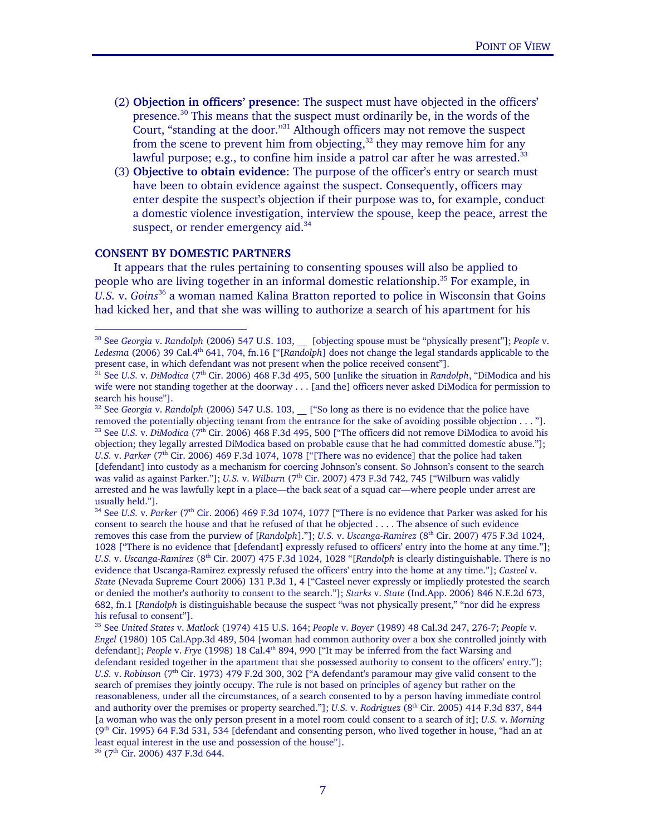- (2) **Objection in officers' presence**: The suspect must have objected in the officers' presence.<sup>30</sup> This means that the suspect must ordinarily be, in the words of the Court, "standing at the door."31 Although officers may not remove the suspect from the scene to prevent him from objecting, $32$  they may remove him for any lawful purpose; e.g., to confine him inside a patrol car after he was arrested.<sup>33</sup>
- (3) **Objective to obtain evidence**: The purpose of the officer's entry or search must have been to obtain evidence against the suspect. Consequently, officers may enter despite the suspect's objection if their purpose was to, for example, conduct a domestic violence investigation, interview the spouse, keep the peace, arrest the suspect, or render emergency aid.<sup>34</sup>

#### **CONSENT BY DOMESTIC PARTNERS**

Ξ

 $\overline{a}$ 

 It appears that the rules pertaining to consenting spouses will also be applied to people who are living together in an informal domestic relationship.<sup>35</sup> For example, in *U.S.* v. *Goins*36 a woman named Kalina Bratton reported to police in Wisconsin that Goins had kicked her, and that she was willing to authorize a search of his apartment for his

<sup>34</sup> See *U.S.* v. *Parker* (7<sup>th</sup> Cir. 2006) 469 F.3d 1074, 1077 ["There is no evidence that Parker was asked for his consent to search the house and that he refused of that he objected . . . . The absence of such evidence removes this case from the purview of [Randolph]."]; *U.S. v. Uscanga-Ramirez* (8<sup>th</sup> Cir. 2007) 475 F.3d 1024, 1028 ["There is no evidence that [defendant] expressly refused to officers' entry into the home at any time."]; *U.S.* v. *Uscanga-Ramirez* (8th Cir. 2007) 475 F.3d 1024, 1028 "[*Randolph* is clearly distinguishable. There is no evidence that Uscanga-Ramirez expressly refused the officers' entry into the home at any time."]; *Casteel* v. *State* (Nevada Supreme Court 2006) 131 P.3d 1, 4 ["Casteel never expressly or impliedly protested the search or denied the mother's authority to consent to the search."]; *Starks* v. *State* (Ind.App. 2006) 846 N.E.2d 673, 682, fn.1 [*Randolph* is distinguishable because the suspect "was not physically present," "nor did he express his refusal to consent"].

35 See *United States* v. *Matlock* (1974) 415 U.S. 164; *People* v. *Boyer* (1989) 48 Cal.3d 247, 276-7; *People* v. *Engel* (1980) 105 Cal.App.3d 489, 504 [woman had common authority over a box she controlled jointly with defendant]; *People* v. *Frye* (1998) 18 Cal.4th 894, 990 ["It may be inferred from the fact Warsing and defendant resided together in the apartment that she possessed authority to consent to the officers' entry."]; *U.S.* v. *Robinson* (7<sup>th</sup> Cir. 1973) 479 F.2d 300, 302 ["A defendant's paramour may give valid consent to the search of premises they jointly occupy. The rule is not based on principles of agency but rather on the reasonableness, under all the circumstances, of a search consented to by a person having immediate control and authority over the premises or property searched."]; *U.S. v. Rodriguez* (8<sup>th</sup> Cir. 2005) 414 F.3d 837, 844 [a woman who was the only person present in a motel room could consent to a search of it]; *U.S.* v. *Morning* ( $9<sup>th</sup>$  Cir. 1995) 64 F.3d 531, 534 [defendant and consenting person, who lived together in house, "had an at least equal interest in the use and possession of the house"].

<sup>30</sup> See *Georgia* v. *Randolph* (2006) 547 U.S. 103, \_\_ [objecting spouse must be "physically present"]; *People* v. *Ledesma* (2006) 39 Cal.4th 641, 704, fn.16 ["[*Randolph*] does not change the legal standards applicable to the present case, in which defendant was not present when the police received consent"].

<sup>&</sup>lt;sup>31</sup> See *U.S.* v. *DiModica* (7<sup>th</sup> Cir. 2006) 468 F.3d 495, 500 [unlike the situation in *Randolph*, "DiModica and his wife were not standing together at the doorway . . . [and the] officers never asked DiModica for permission to search his house"].

<sup>&</sup>lt;sup>32</sup> See *Georgia* v. *Randolph* (2006) 547 U.S. 103, <sup>["So long as there is no evidence that the police have</sup> removed the potentially objecting tenant from the entrance for the sake of avoiding possible objection  $\ldots$  "].<br><sup>33</sup> See *U.S. v. DiModica* (7<sup>th</sup> Cir. 2006) 468 F.3d 495, 500 f The officers did not remove DiModica to av objection; they legally arrested DiModica based on probable cause that he had committed domestic abuse."]; *U.S.* v. *Parker* (7<sup>th</sup> Cir. 2006) 469 F.3d 1074, 1078 ["[There was no evidence] that the police had taken [defendant] into custody as a mechanism for coercing Johnson's consent. So Johnson's consent to the search was valid as against Parker."]; *U.S.* v. *Wilburn* (7<sup>th</sup> Cir. 2007) 473 F.3d 742, 745 ["Wilburn was validly arrested and he was lawfully kept in a place—the back seat of a squad car—where people under arrest are usually held."].

<sup>&</sup>lt;sup>36</sup> (7<sup>th</sup> Cir. 2006) 437 F.3d 644.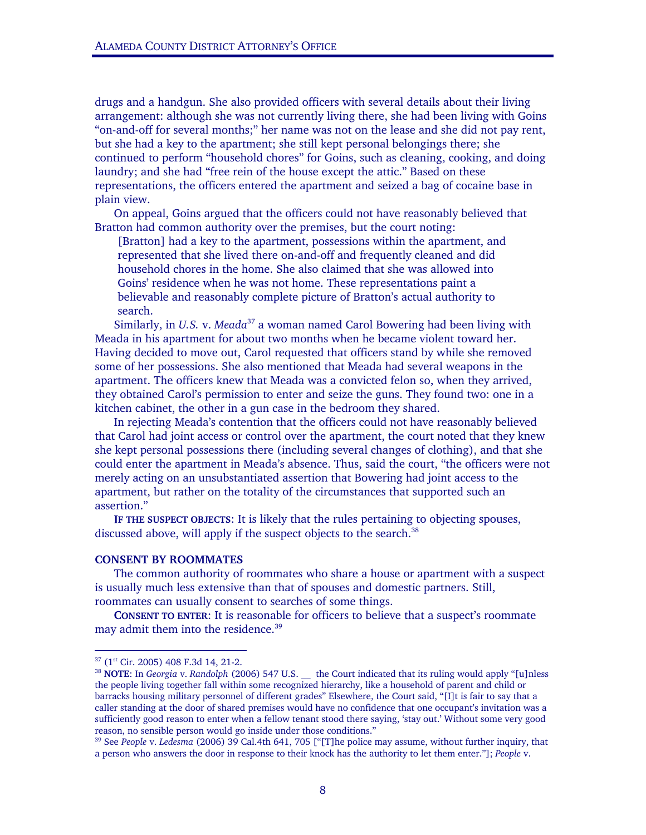drugs and a handgun. She also provided officers with several details about their living arrangement: although she was not currently living there, she had been living with Goins "on-and-off for several months;" her name was not on the lease and she did not pay rent, but she had a key to the apartment; she still kept personal belongings there; she continued to perform "household chores" for Goins, such as cleaning, cooking, and doing laundry; and she had "free rein of the house except the attic." Based on these representations, the officers entered the apartment and seized a bag of cocaine base in plain view.

 On appeal, Goins argued that the officers could not have reasonably believed that Bratton had common authority over the premises, but the court noting:

[Bratton] had a key to the apartment, possessions within the apartment, and represented that she lived there on-and-off and frequently cleaned and did household chores in the home. She also claimed that she was allowed into Goins' residence when he was not home. These representations paint a believable and reasonably complete picture of Bratton's actual authority to search.

Similarly, in *U.S. v. Meada*<sup>37</sup> a woman named Carol Bowering had been living with Meada in his apartment for about two months when he became violent toward her. Having decided to move out, Carol requested that officers stand by while she removed some of her possessions. She also mentioned that Meada had several weapons in the apartment. The officers knew that Meada was a convicted felon so, when they arrived, they obtained Carol's permission to enter and seize the guns. They found two: one in a kitchen cabinet, the other in a gun case in the bedroom they shared.

 In rejecting Meada's contention that the officers could not have reasonably believed that Carol had joint access or control over the apartment, the court noted that they knew she kept personal possessions there (including several changes of clothing), and that she could enter the apartment in Meada's absence. Thus, said the court, "the officers were not merely acting on an unsubstantiated assertion that Bowering had joint access to the apartment, but rather on the totality of the circumstances that supported such an assertion."

**IF THE SUSPECT OBJECTS**: It is likely that the rules pertaining to objecting spouses, discussed above, will apply if the suspect objects to the search.<sup>38</sup>

#### **CONSENT BY ROOMMATES**

 The common authority of roommates who share a house or apartment with a suspect is usually much less extensive than that of spouses and domestic partners. Still, roommates can usually consent to searches of some things.

 **CONSENT TO ENTER**: It is reasonable for officers to believe that a suspect's roommate may admit them into the residence.<sup>39</sup>

<sup>&</sup>lt;sup>37</sup> (1<sup>st</sup> Cir. 2005) 408 F.3d 14, 21-2.<br><sup>38</sup> **NOTE**: In *Georgia* v. *Randolph* (2006) 547 U.S. \_\_ the Court indicated that its ruling would apply "[u]nless the people living together fall within some recognized hierarchy, like a household of parent and child or barracks housing military personnel of different grades" Elsewhere, the Court said, "[I]t is fair to say that a caller standing at the door of shared premises would have no confidence that one occupant's invitation was a sufficiently good reason to enter when a fellow tenant stood there saying, 'stay out.' Without some very good reason, no sensible person would go inside under those conditions."

<sup>39</sup> See *People* v. *Ledesma* (2006) 39 Cal.4th 641, 705 ["[T]he police may assume, without further inquiry, that a person who answers the door in response to their knock has the authority to let them enter."]; *People* v.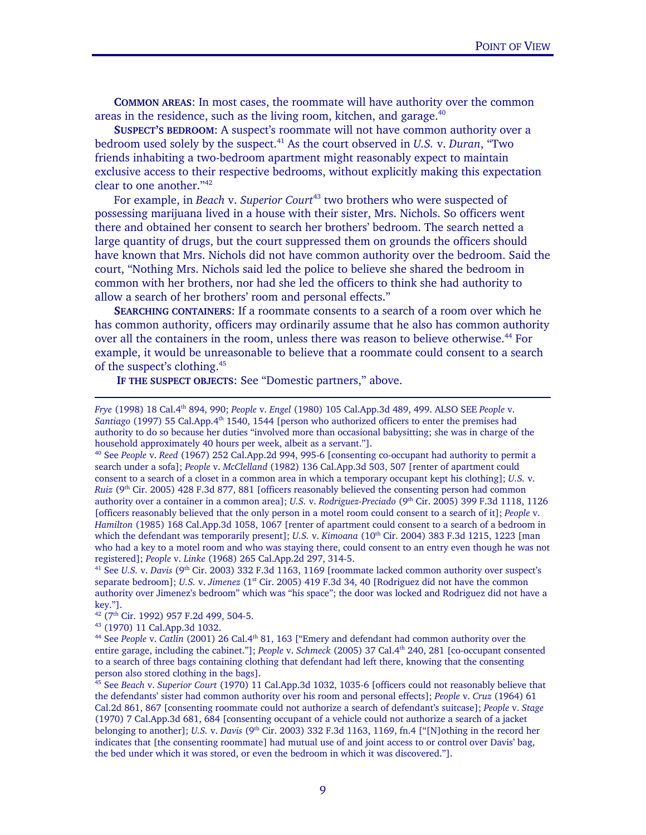**COMMON AREAS**: In most cases, the roommate will have authority over the common areas in the residence, such as the living room, kitchen, and garage.<sup>40</sup>

 **SUSPECT'S BEDROOM**: A suspect's roommate will not have common authority over a bedroom used solely by the suspect.41 As the court observed in *U.S.* v. *Duran*, "Two friends inhabiting a two-bedroom apartment might reasonably expect to maintain exclusive access to their respective bedrooms, without explicitly making this expectation clear to one another."42

For example, in *Beach v. Superior Court<sup>43</sup>* two brothers who were suspected of possessing marijuana lived in a house with their sister, Mrs. Nichols. So officers went there and obtained her consent to search her brothers' bedroom. The search netted a large quantity of drugs, but the court suppressed them on grounds the officers should have known that Mrs. Nichols did not have common authority over the bedroom. Said the court, "Nothing Mrs. Nichols said led the police to believe she shared the bedroom in common with her brothers, nor had she led the officers to think she had authority to allow a search of her brothers' room and personal effects."

**SEARCHING CONTAINERS**: If a roommate consents to a search of a room over which he has common authority, officers may ordinarily assume that he also has common authority over all the containers in the room, unless there was reason to believe otherwise.<sup>44</sup> For example, it would be unreasonable to believe that a roommate could consent to a search of the suspect's clothing.45

**IF THE SUSPECT OBJECTS**: See "Domestic partners," above.

search under a sofa]; *People* v. *McClelland* (1982) 136 Cal.App.3d 503, 507 [renter of apartment could consent to a search of a closet in a common area in which a temporary occupant kept his clothing]; *U.S.* v. *Ruiz* (9<sup>th</sup> Cir. 2005) 428 F.3d 877, 881 [officers reasonably believed the consenting person had common authority over a container in a common area]; *U.S.* v. *Rodriguez-Preciado* (9<sup>th</sup> Cir. 2005) 399 F.3d 1118, 1126 [officers reasonably believed that the only person in a motel room could consent to a search of it]; *People* v. *Hamilton* (1985) 168 Cal.App.3d 1058, 1067 [renter of apartment could consent to a search of a bedroom in which the defendant was temporarily present]; *U.S. v. Kimoana* (10<sup>th</sup> Cir. 2004) 383 F.3d 1215, 1223 [man] who had a key to a motel room and who was staying there, could consent to an entry even though he was not registered]; *People* v. *Linke* (1968) 265 Cal.App.2d 297, 314-5.<br><sup>41</sup> See *U.S. v. Davis* (9<sup>th</sup> Cir. 2003) 332 F.3d 1163, 1169 [roommate lacked common authority over suspect's

separate bedroom]; *U.S.* v. *Jimenez* (1<sup>st</sup> Cir. 2005) 419 F.3d 34, 40 [Rodriguez did not have the common authority over Jimenez's bedroom" which was "his space"; the door was locked and Rodriguez did not have a key."].

Ξ

*Frye* (1998) 18 Cal.4th 894, 990; *People* v. *Engel* (1980) 105 Cal.App.3d 489, 499. ALSO SEE *People* v. Santiago (1997) 55 Cal.App.4<sup>th</sup> 1540, 1544 [person who authorized officers to enter the premises had authority to do so because her duties "involved more than occasional babysitting; she was in charge of the household approximately 40 hours per week, albeit as a servant."].<br><sup>40</sup> See *People* v. *Reed* (1967) 252 Cal.App.2d 994, 995-6 [consenting co-occupant had authority to permit a

 $^{42}$  (7<sup>th</sup> Cir. 1992) 957 F.2d 499, 504-5.<br> $^{43}$  (1970) 11 Cal.App.3d 1032.

<sup>44</sup> See *People* v. *Catlin* (2001) 26 Cal.4th 81, 163 ["Emery and defendant had common authority over the entire garage, including the cabinet."]; *People* v. *Schmeck* (2005) 37 Cal.4th 240, 281 [co-occupant consented to a search of three bags containing clothing that defendant had left there, knowing that the consenting person also stored clothing in the bags].

<sup>45</sup> See *Beach* v. *Superior Court* (1970) 11 Cal.App.3d 1032, 1035-6 [officers could not reasonably believe that the defendants' sister had common authority over his room and personal effects]; *People* v. *Cruz* (1964) 61 Cal.2d 861, 867 [consenting roommate could not authorize a search of defendant's suitcase]; *People* v. *Stage* (1970) 7 Cal.App.3d 681, 684 [consenting occupant of a vehicle could not authorize a search of a jacket belonging to another]; *U.S.* v. *Davis* (9th Cir. 2003) 332 F.3d 1163, 1169, fn.4 ["[N]othing in the record her indicates that [the consenting roommate] had mutual use of and joint access to or control over Davis' bag, the bed under which it was stored, or even the bedroom in which it was discovered."].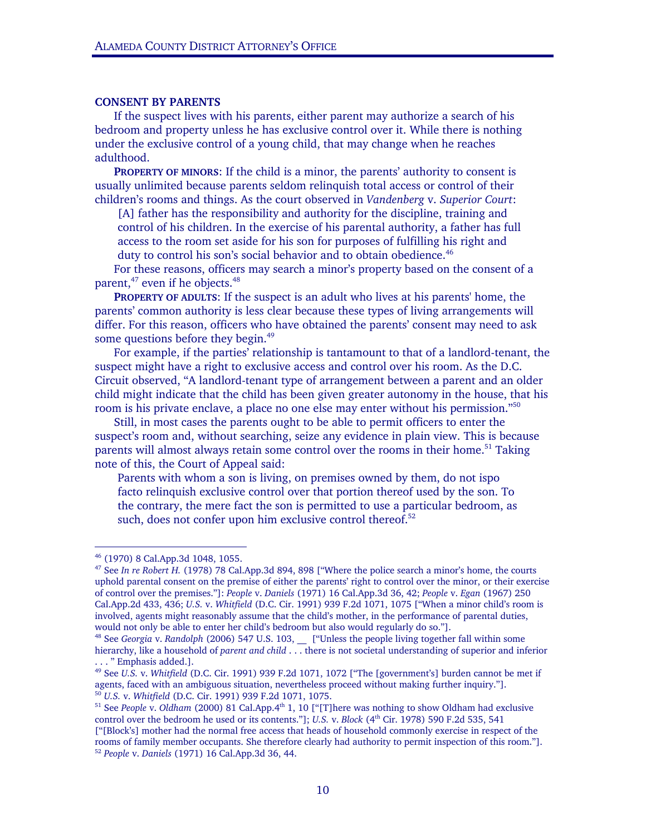#### **CONSENT BY PARENTS**

 If the suspect lives with his parents, either parent may authorize a search of his bedroom and property unless he has exclusive control over it. While there is nothing under the exclusive control of a young child, that may change when he reaches adulthood.

**PROPERTY OF MINORS**: If the child is a minor, the parents' authority to consent is usually unlimited because parents seldom relinquish total access or control of their children's rooms and things. As the court observed in *Vandenberg* v. *Superior Court*:

[A] father has the responsibility and authority for the discipline, training and control of his children. In the exercise of his parental authority, a father has full access to the room set aside for his son for purposes of fulfilling his right and duty to control his son's social behavior and to obtain obedience.<sup>46</sup>

 For these reasons, officers may search a minor's property based on the consent of a parent,<sup>47</sup> even if he objects.<sup>48</sup>

**PROPERTY OF ADULTS**: If the suspect is an adult who lives at his parents' home, the parents' common authority is less clear because these types of living arrangements will differ. For this reason, officers who have obtained the parents' consent may need to ask some questions before they begin.<sup>49</sup>

 For example, if the parties' relationship is tantamount to that of a landlord-tenant, the suspect might have a right to exclusive access and control over his room. As the D.C. Circuit observed, "A landlord-tenant type of arrangement between a parent and an older child might indicate that the child has been given greater autonomy in the house, that his room is his private enclave, a place no one else may enter without his permission."50

 Still, in most cases the parents ought to be able to permit officers to enter the suspect's room and, without searching, seize any evidence in plain view. This is because parents will almost always retain some control over the rooms in their home.<sup>51</sup> Taking note of this, the Court of Appeal said:

Parents with whom a son is living, on premises owned by them, do not ispo facto relinquish exclusive control over that portion thereof used by the son. To the contrary, the mere fact the son is permitted to use a particular bedroom, as such, does not confer upon him exclusive control thereof.<sup>52</sup>

<sup>46 (1970) 8</sup> Cal.App.3d 1048, 1055.

<sup>47</sup> See *In re Robert H.* (1978) 78 Cal.App.3d 894, 898 ["Where the police search a minor's home, the courts uphold parental consent on the premise of either the parents' right to control over the minor, or their exercise of control over the premises."]: *People* v. *Daniels* (1971) 16 Cal.App.3d 36, 42; *People* v. *Egan* (1967) 250 Cal.App.2d 433, 436; *U.S.* v. *Whitfield* (D.C. Cir. 1991) 939 F.2d 1071, 1075 ["When a minor child's room is involved, agents might reasonably assume that the child's mother, in the performance of parental duties, would not only be able to enter her child's bedroom but also would regularly do so."].

<sup>&</sup>lt;sup>48</sup> See *Georgia v. Randolph* (2006) 547 U.S. 103, \_\_ ["Unless the people living together fall within some hierarchy, like a household of *parent and child* . . . there is not societal understanding of superior and inferior . . . " Emphasis added.].

<sup>&</sup>lt;sup>49</sup> See *U.S.* v. *Whitfield* (D.C. Cir. 1991) 939 F.2d 1071, 1072 ["The [government's] burden cannot be met if agents, faced with an ambiguous situation, nevertheless proceed without making further inquiry."].

<sup>&</sup>lt;sup>50</sup> U.S. v. Whitfield (D.C. Cir. 1991) 939 F.2d 1071, 1075.<br><sup>51</sup> See People v. Oldham (2000) 81 Cal.App.4<sup>th</sup> 1, 10 ["[T]here was nothing to show Oldham had exclusive control over the bedroom he used or its contents."]; *U.S.* v. *Block* (4<sup>th</sup> Cir. 1978) 590 F.2d 535, 541 ["[Block's] mother had the normal free access that heads of household commonly exercise in respect of the rooms of family member occupants. She therefore clearly had authority to permit inspection of this room."]. 52 *People* v. *Daniels* (1971) 16 Cal.App.3d 36, 44.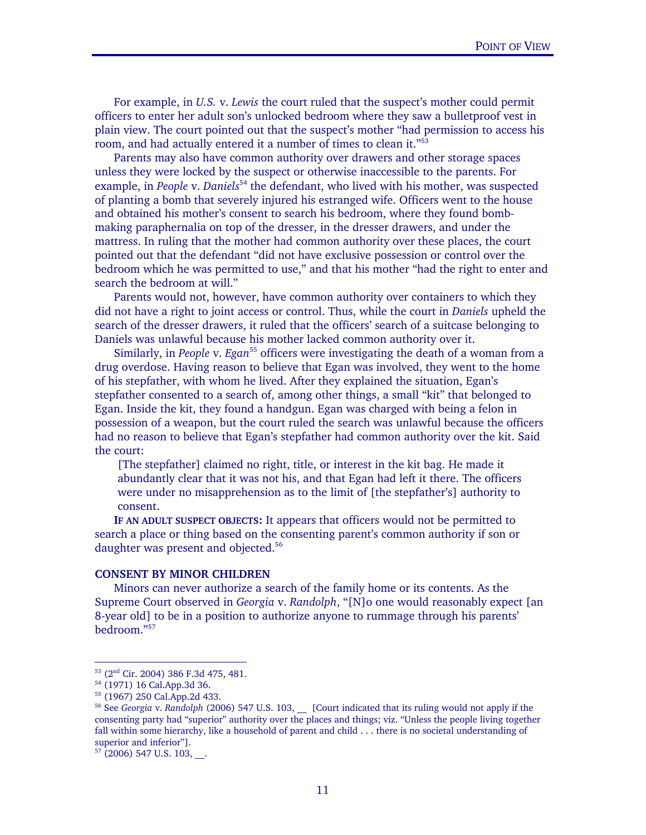For example, in *U.S.* v. *Lewis* the court ruled that the suspect's mother could permit officers to enter her adult son's unlocked bedroom where they saw a bulletproof vest in plain view. The court pointed out that the suspect's mother "had permission to access his room, and had actually entered it a number of times to clean it."53

 Parents may also have common authority over drawers and other storage spaces unless they were locked by the suspect or otherwise inaccessible to the parents. For example, in *People* v. *Daniels*<sup>54</sup> the defendant, who lived with his mother, was suspected of planting a bomb that severely injured his estranged wife. Officers went to the house and obtained his mother's consent to search his bedroom, where they found bombmaking paraphernalia on top of the dresser, in the dresser drawers, and under the mattress. In ruling that the mother had common authority over these places, the court pointed out that the defendant "did not have exclusive possession or control over the bedroom which he was permitted to use," and that his mother "had the right to enter and search the bedroom at will."

 Parents would not, however, have common authority over containers to which they did not have a right to joint access or control. Thus, while the court in *Daniels* upheld the search of the dresser drawers, it ruled that the officers' search of a suitcase belonging to Daniels was unlawful because his mother lacked common authority over it.

Similarly, in *People* v. *Egan*<sup>55</sup> officers were investigating the death of a woman from a drug overdose. Having reason to believe that Egan was involved, they went to the home of his stepfather, with whom he lived. After they explained the situation, Egan's stepfather consented to a search of, among other things, a small "kit" that belonged to Egan. Inside the kit, they found a handgun. Egan was charged with being a felon in possession of a weapon, but the court ruled the search was unlawful because the officers had no reason to believe that Egan's stepfather had common authority over the kit. Said the court:

[The stepfather] claimed no right, title, or interest in the kit bag. He made it abundantly clear that it was not his, and that Egan had left it there. The officers were under no misapprehension as to the limit of [the stepfather's] authority to consent.

 **IF AN ADULT SUSPECT OBJECTS:** It appears that officers would not be permitted to search a place or thing based on the consenting parent's common authority if son or daughter was present and objected.<sup>56</sup>

## **CONSENT BY MINOR CHILDREN**

Minors can never authorize a search of the family home or its contents. As the Supreme Court observed in *Georgia* v. *Randolph*, "[N]o one would reasonably expect [an 8-year old] to be in a position to authorize anyone to rummage through his parents' bedroom."57

 $\overline{a}$ 

Ξ

<sup>53 (2</sup>nd Cir. 2004) 386 F.3d 475, 481. 54 (1971) 16 Cal.App.3d 36.

<sup>55 (1967) 250</sup> Cal.App.2d 433.

<sup>&</sup>lt;sup>56</sup> See *Georgia* v. *Randolph* (2006) 547 U.S. 103, [Court indicated that its ruling would not apply if the consenting party had "superior" authority over the places and things; viz. "Unless the people living together fall within some hierarchy, like a household of parent and child . . . there is no societal understanding of superior and inferior"].

 $57$  (2006) 547 U.S. 103, ...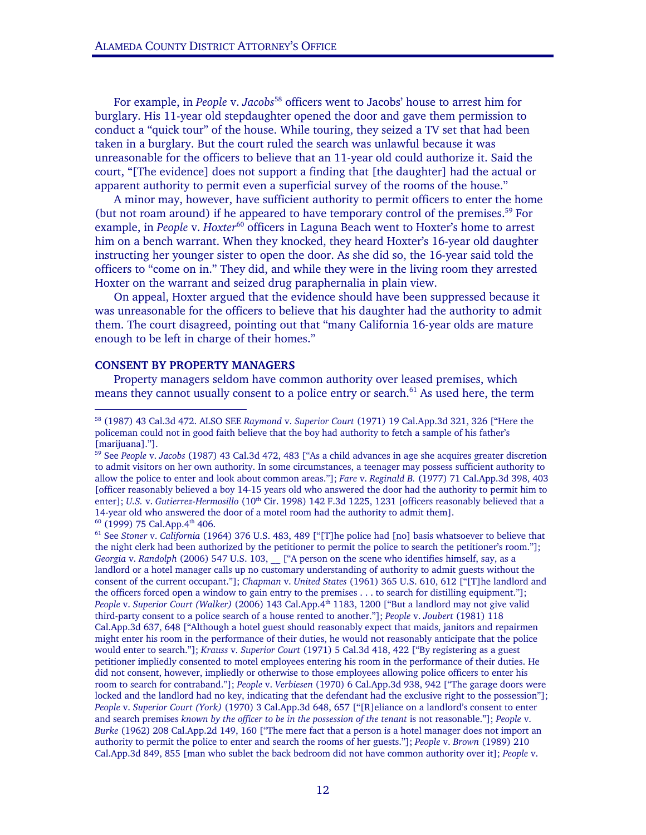For example, in *People* v. *Jacobs*<sup>58</sup> officers went to Jacobs' house to arrest him for burglary. His 11-year old stepdaughter opened the door and gave them permission to conduct a "quick tour" of the house. While touring, they seized a TV set that had been taken in a burglary. But the court ruled the search was unlawful because it was unreasonable for the officers to believe that an 11-year old could authorize it. Said the court, "[The evidence] does not support a finding that [the daughter] had the actual or apparent authority to permit even a superficial survey of the rooms of the house."

 A minor may, however, have sufficient authority to permit officers to enter the home (but not roam around) if he appeared to have temporary control of the premises.<sup>59</sup> For example, in *People* v. *Hoxter*<sup>60</sup> officers in Laguna Beach went to Hoxter's home to arrest him on a bench warrant. When they knocked, they heard Hoxter's 16-year old daughter instructing her younger sister to open the door. As she did so, the 16-year said told the officers to "come on in." They did, and while they were in the living room they arrested Hoxter on the warrant and seized drug paraphernalia in plain view.

 On appeal, Hoxter argued that the evidence should have been suppressed because it was unreasonable for the officers to believe that his daughter had the authority to admit them. The court disagreed, pointing out that "many California 16-year olds are mature enough to be left in charge of their homes."

## **CONSENT BY PROPERTY MANAGERS**

 $\overline{a}$ 

 Property managers seldom have common authority over leased premises, which means they cannot usually consent to a police entry or search.<sup>61</sup> As used here, the term

<sup>58 (1987) 43</sup> Cal.3d 472. ALSO SEE *Raymond* v. *Superior Court* (1971) 19 Cal.App.3d 321, 326 ["Here the policeman could not in good faith believe that the boy had authority to fetch a sample of his father's [marijuana]."].

<sup>59</sup> See *People* v. *Jacobs* (1987) 43 Cal.3d 472, 483 ["As a child advances in age she acquires greater discretion to admit visitors on her own authority. In some circumstances, a teenager may possess sufficient authority to allow the police to enter and look about common areas."]; *Fare* v. *Reginald B.* (1977) 71 Cal.App.3d 398, 403 [officer reasonably believed a boy 14-15 years old who answered the door had the authority to permit him to enter]; *U.S. v. Gutierrez-Hermosillo* (10<sup>th</sup> Cir. 1998) 142 F.3d 1225, 1231 [officers reasonably believed that a 14-year old who answered the door of a motel room had the authority to admit them].<br><sup>60</sup> (1999) 75 Cal.App.4<sup>th</sup> 406.<br><sup>61</sup> See *Stoner v. California* (1964) 376 U.S. 483, 489 ["[T]he police had [no] basis whatsoever to be

the night clerk had been authorized by the petitioner to permit the police to search the petitioner's room."]; *Georgia* v. *Randolph* (2006) 547 U.S. 103, \_\_ ["A person on the scene who identifies himself, say, as a landlord or a hotel manager calls up no customary understanding of authority to admit guests without the consent of the current occupant."]; *Chapman* v. *United States* (1961) 365 U.S. 610, 612 ["[T]he landlord and the officers forced open a window to gain entry to the premises . . . to search for distilling equipment."]; *People* v. *Superior Court (Walker)* (2006) 143 Cal.App.4th 1183, 1200 ["But a landlord may not give valid third-party consent to a police search of a house rented to another."]; *People* v. *Joubert* (1981) 118 Cal.App.3d 637, 648 ["Although a hotel guest should reasonably expect that maids, janitors and repairmen might enter his room in the performance of their duties, he would not reasonably anticipate that the police would enter to search."]; *Krauss* v. *Superior Court* (1971) 5 Cal.3d 418, 422 ["By registering as a guest petitioner impliedly consented to motel employees entering his room in the performance of their duties. He did not consent, however, impliedly or otherwise to those employees allowing police officers to enter his room to search for contraband."]; *People* v. *Verbiesen* (1970) 6 Cal.App.3d 938, 942 ["The garage doors were locked and the landlord had no key, indicating that the defendant had the exclusive right to the possession"]; *People* v. *Superior Court (York)* (1970) 3 Cal.App.3d 648, 657 ["[R]eliance on a landlord's consent to enter and search premises *known by the officer to be in the possession of the tenant* is not reasonable."]; *People* v. *Burke* (1962) 208 Cal.App.2d 149, 160 ["The mere fact that a person is a hotel manager does not import an authority to permit the police to enter and search the rooms of her guests."]; *People* v. *Brown* (1989) 210 Cal.App.3d 849, 855 [man who sublet the back bedroom did not have common authority over it]; *People* v.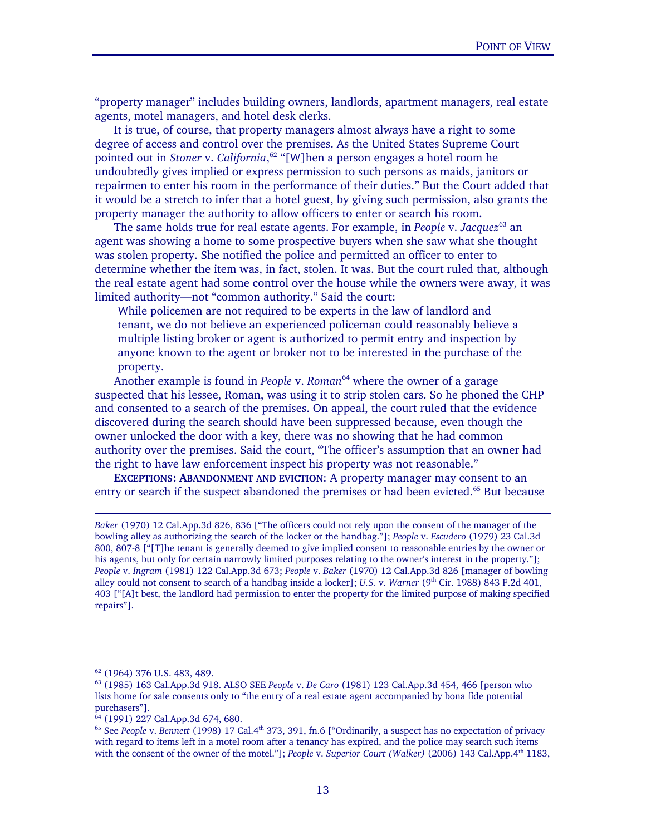"property manager" includes building owners, landlords, apartment managers, real estate agents, motel managers, and hotel desk clerks.

 It is true, of course, that property managers almost always have a right to some degree of access and control over the premises. As the United States Supreme Court pointed out in *Stoner* v. *California*, 62 "[W]hen a person engages a hotel room he undoubtedly gives implied or express permission to such persons as maids, janitors or repairmen to enter his room in the performance of their duties." But the Court added that it would be a stretch to infer that a hotel guest, by giving such permission, also grants the property manager the authority to allow officers to enter or search his room.

 The same holds true for real estate agents. For example, in *People* v. *Jacquez*63 an agent was showing a home to some prospective buyers when she saw what she thought was stolen property. She notified the police and permitted an officer to enter to determine whether the item was, in fact, stolen. It was. But the court ruled that, although the real estate agent had some control over the house while the owners were away, it was limited authority—not "common authority." Said the court:

While policemen are not required to be experts in the law of landlord and tenant, we do not believe an experienced policeman could reasonably believe a multiple listing broker or agent is authorized to permit entry and inspection by anyone known to the agent or broker not to be interested in the purchase of the property.

Another example is found in *People* v. *Roman*<sup>64</sup> where the owner of a garage suspected that his lessee, Roman, was using it to strip stolen cars. So he phoned the CHP and consented to a search of the premises. On appeal, the court ruled that the evidence discovered during the search should have been suppressed because, even though the owner unlocked the door with a key, there was no showing that he had common authority over the premises. Said the court, "The officer's assumption that an owner had the right to have law enforcement inspect his property was not reasonable."

**EXCEPTIONS: ABANDONMENT AND EVICTION**: A property manager may consent to an entry or search if the suspect abandoned the premises or had been evicted.<sup>65</sup> But because

*Baker* (1970) 12 Cal.App.3d 826, 836 ["The officers could not rely upon the consent of the manager of the bowling alley as authorizing the search of the locker or the handbag."]; *People* v. *Escudero* (1979) 23 Cal.3d 800, 807-8 ["[T]he tenant is generally deemed to give implied consent to reasonable entries by the owner or his agents, but only for certain narrowly limited purposes relating to the owner's interest in the property."]; *People* v. *Ingram* (1981) 122 Cal.App.3d 673; *People* v. *Baker* (1970) 12 Cal.App.3d 826 [manager of bowling alley could not consent to search of a handbag inside a locker]; *U.S.* v. *Warner* (9<sup>th</sup> Cir. 1988) 843 F.2d 401, 403 ["[A]t best, the landlord had permission to enter the property for the limited purpose of making specified repairs"].

-

Ξ

<sup>62 (1964) 376</sup> U.S. 483, 489.

<sup>63 (1985) 163</sup> Cal.App.3d 918. ALSO SEE *People* v. *De Caro* (1981) 123 Cal.App.3d 454, 466 [person who lists home for sale consents only to "the entry of a real estate agent accompanied by bona fide potential purchasers"].

 $64$  (1991) 227 Cal.App.3d 674, 680.

<sup>&</sup>lt;sup>65</sup> See *People* v. *Bennett* (1998) 17 Cal.4<sup>th</sup> 373, 391, fn.6 ["Ordinarily, a suspect has no expectation of privacy with regard to items left in a motel room after a tenancy has expired, and the police may search such items with the consent of the owner of the motel."]; *People v. Superior Court (Walker)* (2006) 143 Cal.App.4<sup>th</sup> 1183,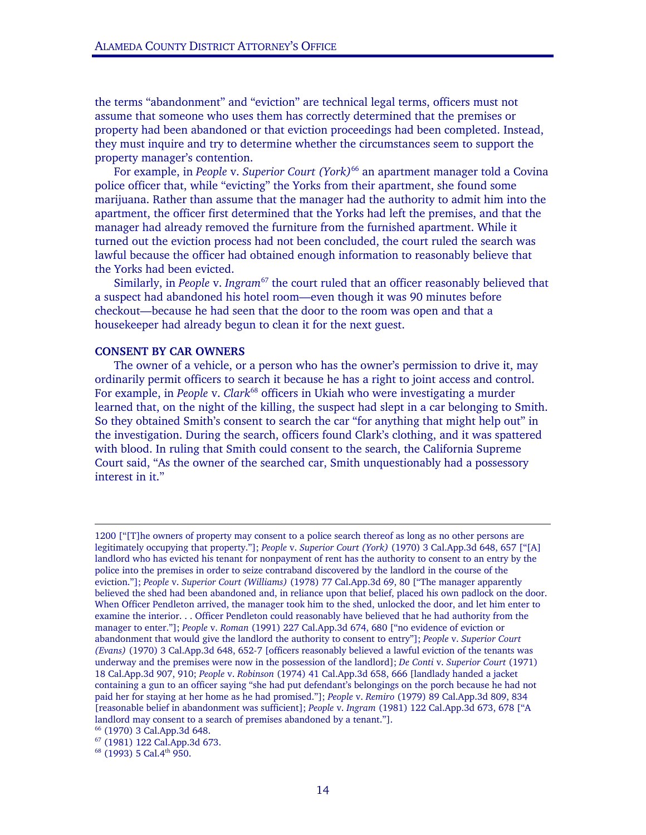the terms "abandonment" and "eviction" are technical legal terms, officers must not assume that someone who uses them has correctly determined that the premises or property had been abandoned or that eviction proceedings had been completed. Instead, they must inquire and try to determine whether the circumstances seem to support the property manager's contention.

For example, in *People* v. *Superior Court (York)*<sup>66</sup> an apartment manager told a Covina police officer that, while "evicting" the Yorks from their apartment, she found some marijuana. Rather than assume that the manager had the authority to admit him into the apartment, the officer first determined that the Yorks had left the premises, and that the manager had already removed the furniture from the furnished apartment. While it turned out the eviction process had not been concluded, the court ruled the search was lawful because the officer had obtained enough information to reasonably believe that the Yorks had been evicted.

 Similarly, in *People* v. *Ingram*67 the court ruled that an officer reasonably believed that a suspect had abandoned his hotel room—even though it was 90 minutes before checkout—because he had seen that the door to the room was open and that a housekeeper had already begun to clean it for the next guest.

#### **CONSENT BY CAR OWNERS**

 The owner of a vehicle, or a person who has the owner's permission to drive it, may ordinarily permit officers to search it because he has a right to joint access and control. For example, in *People* v. *Clark*68 officers in Ukiah who were investigating a murder learned that, on the night of the killing, the suspect had slept in a car belonging to Smith. So they obtained Smith's consent to search the car "for anything that might help out" in the investigation. During the search, officers found Clark's clothing, and it was spattered with blood. In ruling that Smith could consent to the search, the California Supreme Court said, "As the owner of the searched car, Smith unquestionably had a possessory interest in it."

-

<sup>1200 [&</sup>quot;[T]he owners of property may consent to a police search thereof as long as no other persons are legitimately occupying that property."]; *People* v. *Superior Court (York)* (1970) 3 Cal.App.3d 648, 657 ["[A] landlord who has evicted his tenant for nonpayment of rent has the authority to consent to an entry by the police into the premises in order to seize contraband discovered by the landlord in the course of the eviction."]; *People* v. *Superior Court (Williams)* (1978) 77 Cal.App.3d 69, 80 ["The manager apparently believed the shed had been abandoned and, in reliance upon that belief, placed his own padlock on the door. When Officer Pendleton arrived, the manager took him to the shed, unlocked the door, and let him enter to examine the interior. . . Officer Pendleton could reasonably have believed that he had authority from the manager to enter."]; *People* v. *Roman* (1991) 227 Cal.App.3d 674, 680 ["no evidence of eviction or abandonment that would give the landlord the authority to consent to entry"]; *People* v. *Superior Court (Evans)* (1970) 3 Cal.App.3d 648, 652-7 [officers reasonably believed a lawful eviction of the tenants was underway and the premises were now in the possession of the landlord]; *De Conti* v. *Superior Court* (1971) 18 Cal.App.3d 907, 910; *People* v. *Robinson* (1974) 41 Cal.App.3d 658, 666 [landlady handed a jacket containing a gun to an officer saying "she had put defendant's belongings on the porch because he had not paid her for staying at her home as he had promised."]; *People* v. *Remiro* (1979) 89 Cal.App.3d 809, 834 [reasonable belief in abandonment was sufficient]; *People* v. *Ingram* (1981) 122 Cal.App.3d 673, 678 ["A landlord may consent to a search of premises abandoned by a tenant."]. 66 (1970) 3 Cal.App.3d 648.

<sup>67 (1981) 122</sup> Cal.App.3d 673.

<sup>&</sup>lt;sup>68</sup> (1993) 5 Cal.4<sup>th</sup> 950.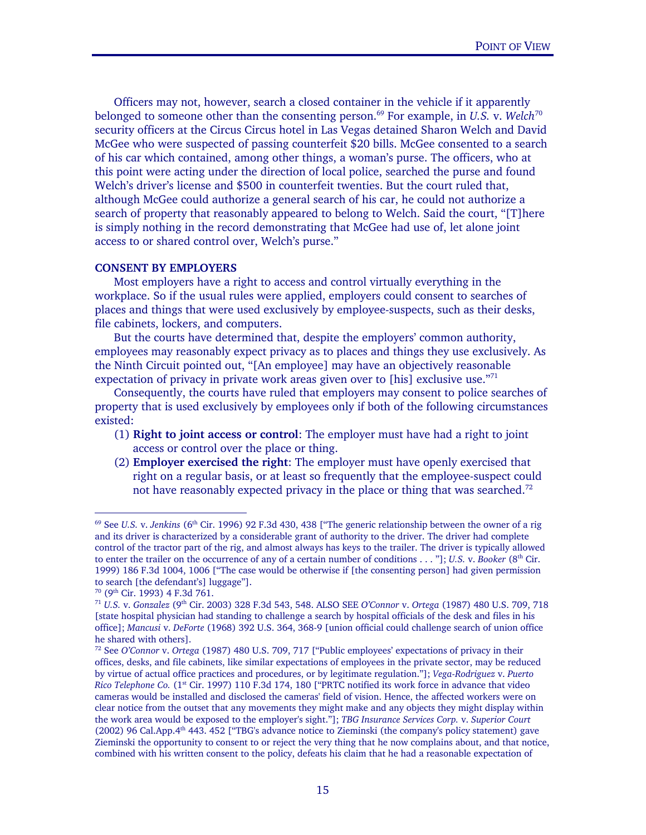Officers may not, however, search a closed container in the vehicle if it apparently belonged to someone other than the consenting person.<sup>69</sup> For example, in *U.S.* v. *Welch*<sup>70</sup> security officers at the Circus Circus hotel in Las Vegas detained Sharon Welch and David McGee who were suspected of passing counterfeit \$20 bills. McGee consented to a search of his car which contained, among other things, a woman's purse. The officers, who at this point were acting under the direction of local police, searched the purse and found Welch's driver's license and \$500 in counterfeit twenties. But the court ruled that, although McGee could authorize a general search of his car, he could not authorize a search of property that reasonably appeared to belong to Welch. Said the court, "[T]here is simply nothing in the record demonstrating that McGee had use of, let alone joint access to or shared control over, Welch's purse."

## **CONSENT BY EMPLOYERS**

Ξ

 Most employers have a right to access and control virtually everything in the workplace. So if the usual rules were applied, employers could consent to searches of places and things that were used exclusively by employee-suspects, such as their desks, file cabinets, lockers, and computers.

 But the courts have determined that, despite the employers' common authority, employees may reasonably expect privacy as to places and things they use exclusively. As the Ninth Circuit pointed out, "[An employee] may have an objectively reasonable expectation of privacy in private work areas given over to [his] exclusive use."<sup>71</sup>

 Consequently, the courts have ruled that employers may consent to police searches of property that is used exclusively by employees only if both of the following circumstances existed:

- (1) **Right to joint access or control**: The employer must have had a right to joint access or control over the place or thing.
- (2) **Employer exercised the right**: The employer must have openly exercised that right on a regular basis, or at least so frequently that the employee-suspect could not have reasonably expected privacy in the place or thing that was searched.<sup>72</sup>

<sup>&</sup>lt;sup>69</sup> See *U.S.* v. *Jenkins* (6<sup>th</sup> Cir. 1996) 92 F.3d 430, 438 ["The generic relationship between the owner of a rig and its driver is characterized by a considerable grant of authority to the driver. The driver had complete control of the tractor part of the rig, and almost always has keys to the trailer. The driver is typically allowed to enter the trailer on the occurrence of any of a certain number of conditions . . . "]; *U.S.* v. *Booker* (8<sup>th</sup> Cir. 1999) 186 F.3d 1004, 1006 ["The case would be otherwise if [the consenting person] had given permission to search [the defendant's] luggage"].  $^{70}$  (9<sup>th</sup> Cir. 1993) 4 F.3d 761.

<sup>70 (9</sup>th Cir. 1993) 4 F.3d 761. 71 *U.S.* v. *Gonzalez* (9th Cir. 2003) 328 F.3d 543, 548. ALSO SEE *O'Connor* v. *Ortega* (1987) 480 U.S. 709, 718 [state hospital physician had standing to challenge a search by hospital officials of the desk and files in his office]; *Mancusi* v. *DeForte* (1968) 392 U.S. 364, 368-9 [union official could challenge search of union office he shared with others].

<sup>72</sup> See *O'Connor* v. *Ortega* (1987) 480 U.S. 709, 717 ["Public employees' expectations of privacy in their offices, desks, and file cabinets, like similar expectations of employees in the private sector, may be reduced by virtue of actual office practices and procedures, or by legitimate regulation."]; *Vega-Rodriguez* v. *Puerto Rico Telephone Co.* (1<sup>st</sup> Cir. 1997) 110 F.3d 174, 180 ["PRTC notified its work force in advance that video cameras would be installed and disclosed the cameras' field of vision. Hence, the affected workers were on clear notice from the outset that any movements they might make and any objects they might display within the work area would be exposed to the employer's sight."]; *TBG Insurance Services Corp.* v. *Superior Court* (2002) 96 Cal.App.4th 443. 452 ["TBG's advance notice to Zieminski (the company's policy statement) gave Zieminski the opportunity to consent to or reject the very thing that he now complains about, and that notice, combined with his written consent to the policy, defeats his claim that he had a reasonable expectation of